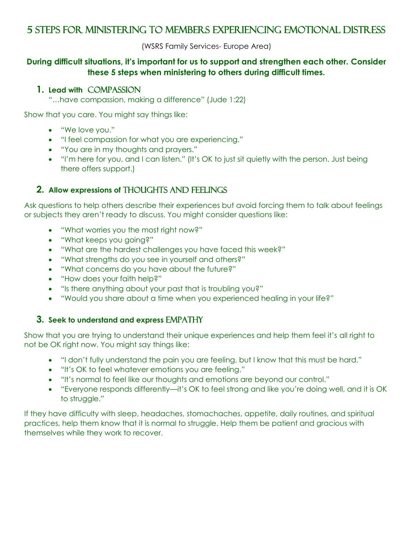# 5 steps for Ministering to members Experiencing Emotional Distress

(WSRS Family Services- Europe Area)

## **During difficult situations, it's important for us to support and strengthen each other. Consider these 5 steps when ministering to others during difficult times.**

#### **1. Lead with** compassion

"…have compassion, making a difference" (Jude 1:22)

Show that you care. You might say things like:

- "We love you."
- "I feel compassion for what you are experiencing."
- "You are in my thoughts and prayers."
- "I'm here for you, and I can listen." (It's OK to just sit quietly with the person. Just being there offers support.)

# **2. Allow expressions of THOUGHTS AND FEELINGS**

Ask questions to help others describe their experiences but avoid forcing them to talk about feelings or subjects they aren't ready to discuss. You might consider questions like:

- "What worries you the most right now?"
- "What keeps you going?"
- "What are the hardest challenges you have faced this week?"
- "What strengths do you see in yourself and others?"
- "What concerns do you have about the future?"
- "How does your faith help?"
- "Is there anything about your past that is troubling you?"
- "Would you share about a time when you experienced healing in your life?"

## **3.** Seek to understand and express EMPATHY

Show that you are trying to understand their unique experiences and help them feel it's all right to not be OK right now. You might say things like:

- "I don't fully understand the pain you are feeling, but I know that this must be hard."
- "It's OK to feel whatever emotions you are feeling."
- "It's normal to feel like our thoughts and emotions are beyond our control."
- "Everyone responds differently—it's OK to feel strong and like you're doing well, and it is OK to struggle."

If they have difficulty with sleep, headaches, stomachaches, appetite, daily routines, and spiritual practices, help them know that it is normal to struggle. Help them be patient and gracious with themselves while they work to recover.